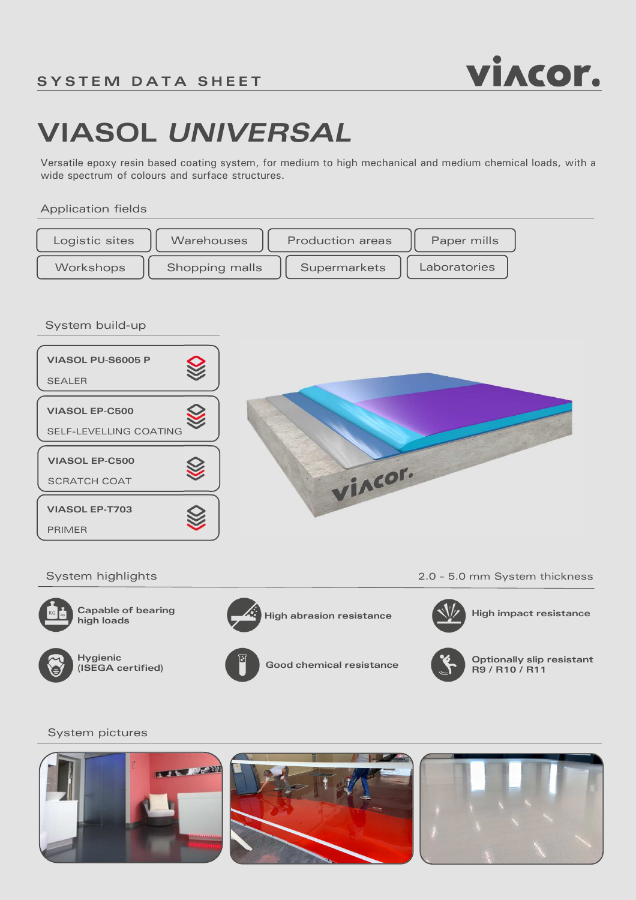

# **VIASOL** *UNIVERSAL*

Versatile epoxy resin based coating system, for medium to high mechanical and medium chemical loads, with a wide spectrum of colours and surface structures.

## Application fields



System build-up



System highlights 2.0 – 5.0 mm System thickness



**high loads**



**High abrasion resistance Capable of bearing**  $\overrightarrow{A}$ **.** High abrasion resistance



**High impact resistance**





**Hygienic (ISEGA certified) Good chemical resistance Optionally slip resistant R9 / R10 / R11**

## System pictures